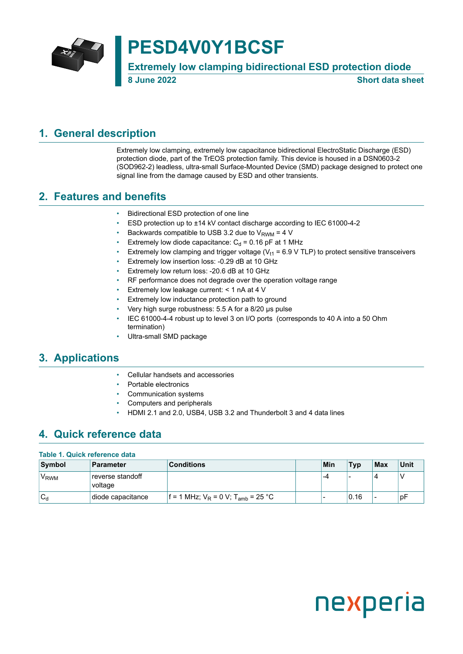

## **PESD4V0Y1BCSF**

**Extremely low clamping bidirectional ESD protection diode Short data sheet** 

## <span id="page-0-0"></span>**1. General description**

Extremely low clamping, extremely low capacitance bidirectional ElectroStatic Discharge (ESD) protection diode, part of the TrEOS protection family. This device is housed in a DSN0603-2 (SOD962-2) leadless, ultra-small Surface-Mounted Device (SMD) package designed to protect one signal line from the damage caused by ESD and other transients.

## <span id="page-0-1"></span>**2. Features and benefits**

- Bidirectional ESD protection of one line
- ESD protection up to ±14 kV contact discharge according to IEC 61000-4-2
- Backwards compatible to USB 3.2 due to  $V_{\text{RWM}} = 4$  V
- Extremely low diode capacitance:  $C_d$  = 0.16 pF at 1 MHz
- Extremely low clamping and trigger voltage ( $V_{t1}$  = 6.9 V TLP) to protect sensitive transceivers
- Extremely low insertion loss: -0.29 dB at 10 GHz
- Extremely low return loss: -20.6 dB at 10 GHz
- RF performance does not degrade over the operation voltage range
- Extremely low leakage current: < 1 nA at 4 V
- Extremely low inductance protection path to ground
- Very high surge robustness: 5.5 A for a 8/20 µs pulse
- IEC 61000-4-4 robust up to level 3 on I/O ports (corresponds to 40 A into a 50 Ohm termination)
- Ultra-small SMD package

## <span id="page-0-2"></span>**3. Applications**

- Cellular handsets and accessories
- Portable electronics
- Communication systems
- Computers and peripherals
- HDMI 2.1 and 2.0, USB4, USB 3.2 and Thunderbolt 3 and 4 data lines

## <span id="page-0-3"></span>**4. Quick reference data**

#### **Table 1. Quick reference data**

| Symbol                    | Parameter                                | <b>Conditions</b>                                   | Min | <b>Typ</b> | Max | Unit |
|---------------------------|------------------------------------------|-----------------------------------------------------|-----|------------|-----|------|
| V <sub>RWM</sub>          | <sup>∣</sup> reverse standoff<br>voltage |                                                     | -4  |            |     |      |
| $^{\circ}$ C <sub>d</sub> | ⊺diode capacitance                       | $ f = 1$ MHz; $V_R = 0$ V; T <sub>amb</sub> = 25 °C |     | 0.16       | -   | рF   |

# nexperia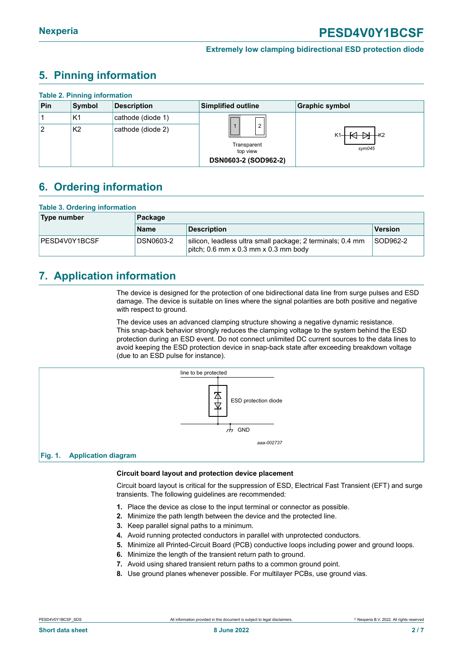## <span id="page-1-0"></span>**5. Pinning information**

| <b>Table 2. Pinning information</b> |                |                    |                             |                       |  |
|-------------------------------------|----------------|--------------------|-----------------------------|-----------------------|--|
| Pin                                 | Symbol         | <b>Description</b> | <b>Simplified outline</b>   | <b>Graphic symbol</b> |  |
|                                     | K <sub>1</sub> | cathode (diode 1)  |                             |                       |  |
| 2                                   | K <sub>2</sub> | cathode (diode 2)  | 2                           |                       |  |
|                                     |                |                    | Transparent<br>top view     | sym045                |  |
|                                     |                |                    | <b>DSN0603-2 (SOD962-2)</b> |                       |  |

## <span id="page-1-1"></span>**6. Ordering information**

| <b>Table 3. Ordering information</b> |             |                                                                                                    |                |  |  |
|--------------------------------------|-------------|----------------------------------------------------------------------------------------------------|----------------|--|--|
| Type number                          | Package     |                                                                                                    |                |  |  |
|                                      | <b>Name</b> | <b>Description</b>                                                                                 | <b>Version</b> |  |  |
| PESD4V0Y1BCSF                        | DSN0603-2   | silicon, leadless ultra small package; 2 terminals; 0.4 mm<br>pitch; 0.6 mm x 0.3 mm x 0.3 mm body | SOD962-2       |  |  |

## <span id="page-1-2"></span>**7. Application information**

The device is designed for the protection of one bidirectional data line from surge pulses and ESD damage. The device is suitable on lines where the signal polarities are both positive and negative with respect to ground.

The device uses an advanced clamping structure showing a negative dynamic resistance. This snap-back behavior strongly reduces the clamping voltage to the system behind the ESD protection during an ESD event. Do not connect unlimited DC current sources to the data lines to avoid keeping the ESD protection device in snap-back state after exceeding breakdown voltage (due to an ESD pulse for instance).



#### **Circuit board layout and protection device placement**

Circuit board layout is critical for the suppression of ESD, Electrical Fast Transient (EFT) and surge transients. The following guidelines are recommended:

- **1.** Place the device as close to the input terminal or connector as possible.
- **2.** Minimize the path length between the device and the protected line.
- **3.** Keep parallel signal paths to a minimum.
- **4.** Avoid running protected conductors in parallel with unprotected conductors.
- **5.** Minimize all Printed-Circuit Board (PCB) conductive loops including power and ground loops.
- **6.** Minimize the length of the transient return path to ground.
- **7.** Avoid using shared transient return paths to a common ground point.
- **8.** Use ground planes whenever possible. For multilayer PCBs, use ground vias.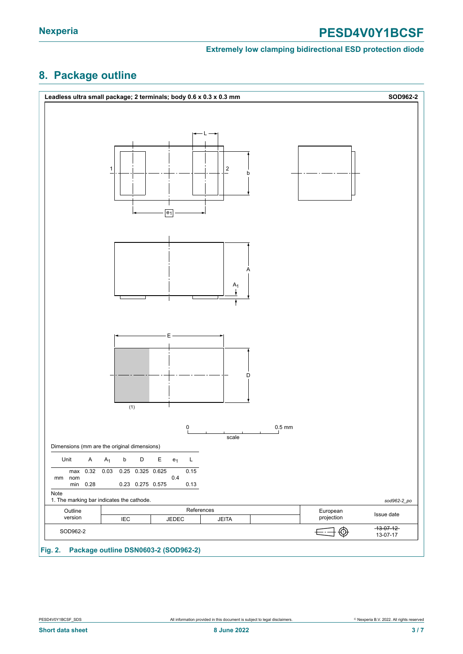## <span id="page-2-0"></span>**8. Package outline**

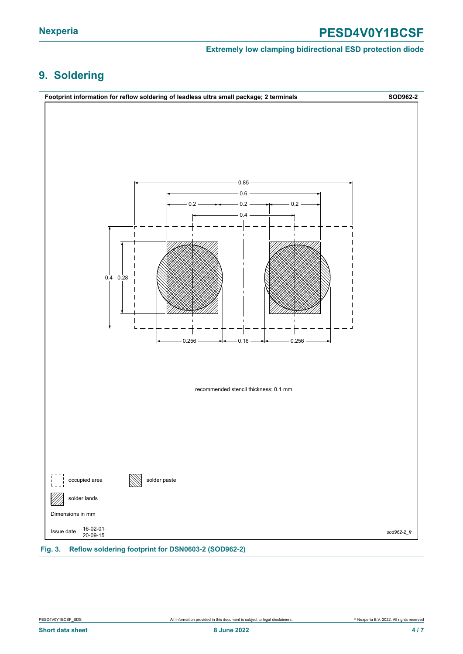## **Nexperia PESD4V0Y1BCSF**

#### **Extremely low clamping bidirectional ESD protection diode**

## <span id="page-3-0"></span>**9. Soldering**

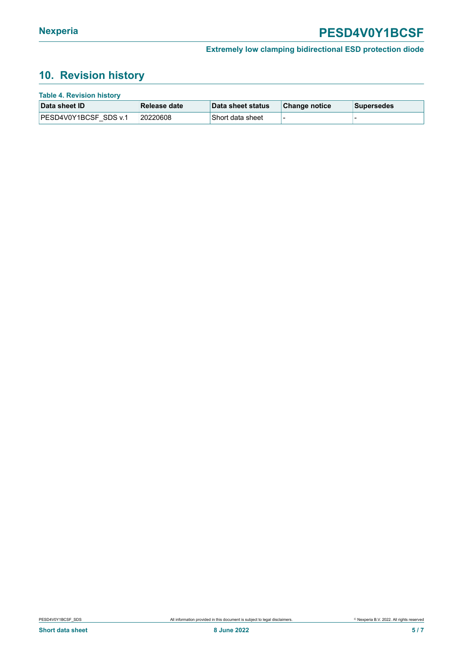## <span id="page-4-0"></span>**10. Revision history**

| <b>Table 4. Revision history</b> |              |                   |               |                   |
|----------------------------------|--------------|-------------------|---------------|-------------------|
| Data sheet ID                    | Release date | Data sheet status | Change notice | <b>Supersedes</b> |
| PESD4V0Y1BCSF SDS v.1            | 20220608     | Short data sheet  |               |                   |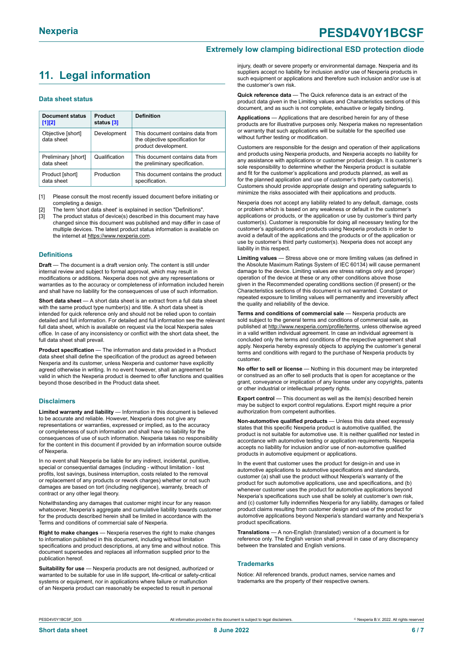## <span id="page-5-0"></span>**11. Legal information**

#### **Data sheet status**

| <b>Document status</b><br>$[1]$ [2] | Product<br>status [3] | <b>Definition</b>                                                                           |
|-------------------------------------|-----------------------|---------------------------------------------------------------------------------------------|
| Objective [short]<br>data sheet     | Development           | This document contains data from<br>the objective specification for<br>product development. |
| Preliminary [short]<br>data sheet   | Qualification         | This document contains data from<br>the preliminary specification.                          |
| Product [short]<br>data sheet       | Production            | This document contains the product<br>specification.                                        |

[1] Please consult the most recently issued document before initiating or completing a design.

- The term 'short data sheet' is explained in section "Definitions".
- [3] The product status of device(s) described in this document may have changed since this document was published and may differ in case of multiple devices. The latest product status information is available on the internet at [https://www.nexperia.com.](https://www.nexperia.com)

#### **Definitions**

**Draft** — The document is a draft version only. The content is still under internal review and subject to formal approval, which may result in modifications or additions. Nexperia does not give any representations or warranties as to the accuracy or completeness of information included herein and shall have no liability for the consequences of use of such information.

**Short data sheet** — A short data sheet is an extract from a full data sheet with the same product type number(s) and title. A short data sheet is intended for quick reference only and should not be relied upon to contain detailed and full information. For detailed and full information see the relevant full data sheet, which is available on request via the local Nexperia sales office. In case of any inconsistency or conflict with the short data sheet, the full data sheet shall prevail.

**Product specification** — The information and data provided in a Product data sheet shall define the specification of the product as agreed between Nexperia and its customer, unless Nexperia and customer have explicitly agreed otherwise in writing. In no event however, shall an agreement be valid in which the Nexperia product is deemed to offer functions and qualities beyond those described in the Product data sheet.

#### **Disclaimers**

**Limited warranty and liability** — Information in this document is believed to be accurate and reliable. However, Nexperia does not give any representations or warranties, expressed or implied, as to the accuracy or completeness of such information and shall have no liability for the consequences of use of such information. Nexperia takes no responsibility for the content in this document if provided by an information source outside of Nexperia.

In no event shall Nexperia be liable for any indirect, incidental, punitive, special or consequential damages (including - without limitation - lost profits, lost savings, business interruption, costs related to the removal or replacement of any products or rework charges) whether or not such damages are based on tort (including negligence), warranty, breach of contract or any other legal theory.

Notwithstanding any damages that customer might incur for any reason whatsoever, Nexperia's aggregate and cumulative liability towards customer for the products described herein shall be limited in accordance with the Terms and conditions of commercial sale of Nexperia.

**Right to make changes** — Nexperia reserves the right to make changes to information published in this document, including without limitation specifications and product descriptions, at any time and without notice. This document supersedes and replaces all information supplied prior to the publication hereof

**Suitability for use** — Nexperia products are not designed, authorized or warranted to be suitable for use in life support, life-critical or safety-critical systems or equipment, nor in applications where failure or malfunction of an Nexperia product can reasonably be expected to result in personal

injury, death or severe property or environmental damage. Nexperia and its suppliers accept no liability for inclusion and/or use of Nexperia products in such equipment or applications and therefore such inclusion and/or use is at the customer's own risk.

**Quick reference data** — The Quick reference data is an extract of the product data given in the Limiting values and Characteristics sections of this document, and as such is not complete, exhaustive or legally binding.

**Applications** — Applications that are described herein for any of these products are for illustrative purposes only. Nexperia makes no representation or warranty that such applications will be suitable for the specified use without further testing or modification.

Customers are responsible for the design and operation of their applications and products using Nexperia products, and Nexperia accepts no liability for any assistance with applications or customer product design. It is customer's sole responsibility to determine whether the Nexperia product is suitable and fit for the customer's applications and products planned, as well as for the planned application and use of customer's third party customer(s). Customers should provide appropriate design and operating safeguards to minimize the risks associated with their applications and products.

Nexperia does not accept any liability related to any default, damage, costs or problem which is based on any weakness or default in the customer's applications or products, or the application or use by customer's third party customer(s). Customer is responsible for doing all necessary testing for the customer's applications and products using Nexperia products in order to avoid a default of the applications and the products or of the application or use by customer's third party customer(s). Nexperia does not accept any liability in this respect.

**Limiting values** — Stress above one or more limiting values (as defined in the Absolute Maximum Ratings System of IEC 60134) will cause permanent damage to the device. Limiting values are stress ratings only and (proper) operation of the device at these or any other conditions above those given in the Recommended operating conditions section (if present) or the Characteristics sections of this document is not warranted. Constant or repeated exposure to limiting values will permanently and irreversibly affect the quality and reliability of the device.

**Terms and conditions of commercial sale** — Nexperia products are sold subject to the general terms and conditions of commercial sale, as published at [http://www.nexperia.com/profile/terms,](http://www.nexperia.com/profile/terms) unless otherwise agreed in a valid written individual agreement. In case an individual agreement is concluded only the terms and conditions of the respective agreement shall apply. Nexperia hereby expressly objects to applying the customer's general terms and conditions with regard to the purchase of Nexperia products by customer.

**No offer to sell or license** — Nothing in this document may be interpreted or construed as an offer to sell products that is open for acceptance or the grant, conveyance or implication of any license under any copyrights, patents or other industrial or intellectual property rights.

**Export control** — This document as well as the item(s) described herein may be subject to export control regulations. Export might require a prior authorization from competent authorities.

**Non-automotive qualified products** — Unless this data sheet expressly states that this specific Nexperia product is automotive qualified, the product is not suitable for automotive use. It is neither qualified nor tested in accordance with automotive testing or application requirements. Nexperia accepts no liability for inclusion and/or use of non-automotive qualified products in automotive equipment or applications.

In the event that customer uses the product for design-in and use in automotive applications to automotive specifications and standards, customer (a) shall use the product without Nexperia's warranty of the product for such automotive applications, use and specifications, and (b) whenever customer uses the product for automotive applications beyond Nexperia's specifications such use shall be solely at customer's own risk, and (c) customer fully indemnifies Nexperia for any liability, damages or failed product claims resulting from customer design and use of the product for automotive applications beyond Nexperia's standard warranty and Nexperia's product specifications.

**Translations** — A non-English (translated) version of a document is for reference only. The English version shall prevail in case of any discrepancy between the translated and English versions.

#### **Trademarks**

Notice: All referenced brands, product names, service names and trademarks are the property of their respective owners.